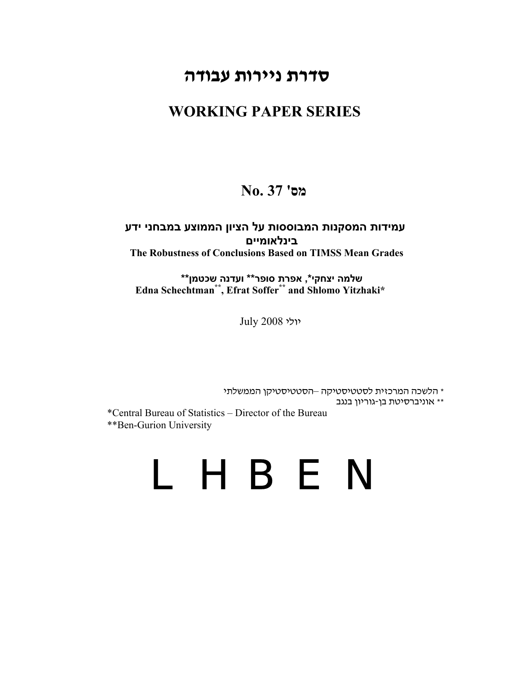# **סדרת ניירות עבודה**

# **WORKING PAPER SERIES**

# **מס' 37 .No**

# **עמידות המסקנות המבוססות על הציון הממוצע במבחני ידע בינלאומיים The Robustness of Conclusions Based on TIMSS Mean Grades**

 **Edna Schechtman\*\*, Efrat Soffer \*\* and Shlomo Yitzhaki\* שלמה יצחקי\*, אפרת סופר\*\* ועדנה שכטמן\*\***

יולי 2008 July

\* הלשכה המרכזית לסטטיסטיקה –הסטטיסטיקן הממשלתי \*\* אוניברסיטת בן- גוריון בנגב

\*Central Bureau of Statistics – Director of the Bureau \*\*Ben-Gurion University

# LHBEN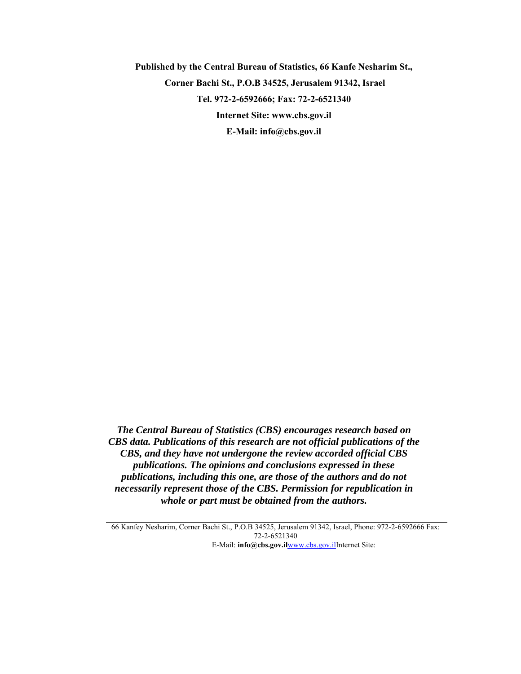**Published by the Central Bureau of Statistics, 66 Kanfe Nesharim St., Corner Bachi St., P.O.B 34525, Jerusalem 91342, Israel Tel. 972-2-6592666; Fax: 72-2-6521340 Internet Site: www.cbs.gov.il E-Mail: info@cbs.gov.il** 

*The Central Bureau of Statistics (CBS) encourages research based on CBS data. Publications of this research are not official publications of the CBS, and they have not undergone the review accorded official CBS publications. The opinions and conclusions expressed in these publications, including this one, are those of the authors and do not necessarily represent those of the CBS. Permission for republication in whole or part must be obtained from the authors.* 

66 Kanfey Nesharim, Corner Bachi St., P.O.B 34525, Jerusalem 91342, Israel, Phone: 972-2-6592666 Fax: 72-2-6521340  [E-Mail:](http://www.cbs.gov.il/) **[@info](http://www.cbs.gov.il/) [cbs](http://www.cbs.gov.il/) [.gov.](http://www.cbs.gov.il/) [il](http://www.cbs.gov.il/)**[www.cbs](http://www.cbs.gov.il/) [.gov.](http://www.cbs.gov.il/) [ilInternet Site:](http://www.cbs.gov.il/)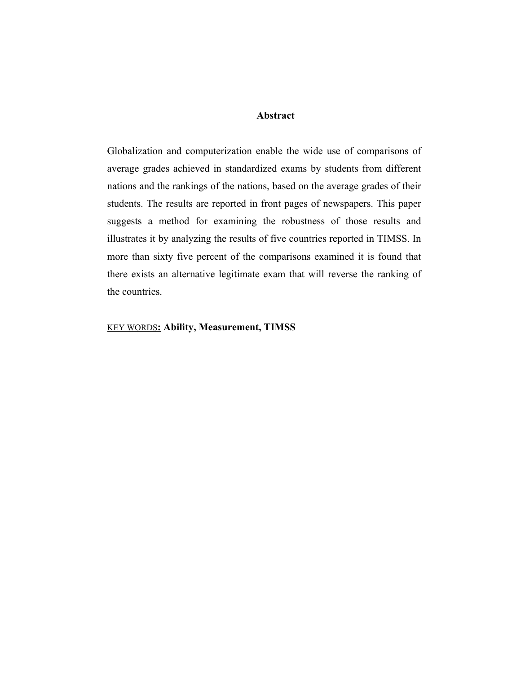## **Abstract**

Globalization and computerization enable the wide use of comparisons of average grades achieved in standardized exams by students from different nations and the rankings of the nations, based on the average grades of their students. The results are reported in front pages of newspapers. This paper suggests a method for examining the robustness of those results and illustrates it by analyzing the results of five countries reported in TIMSS. In more than sixty five percent of the comparisons examined it is found that there exists an alternative legitimate exam that will reverse the ranking of the countries.

## KEY WORDS**: Ability, Measurement, TIMSS**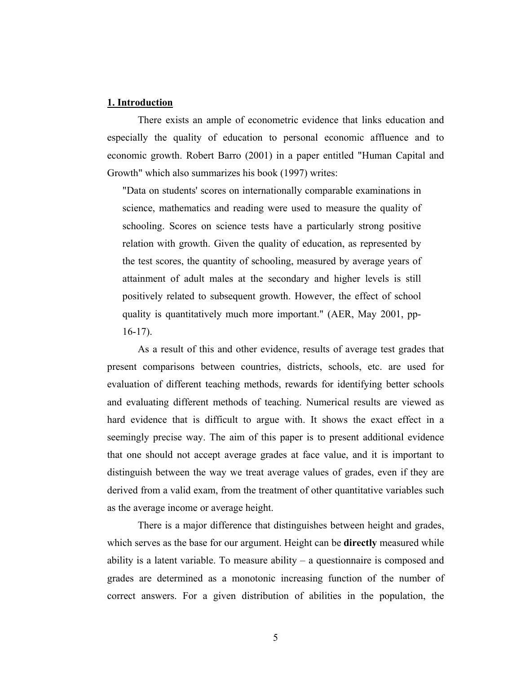## **1. Introduction**

There exists an ample of econometric evidence that links education and especially the quality of education to personal economic affluence and to economic growth. Robert Barro (2001) in a paper entitled "Human Capital and Growth" which also summarizes his book (1997) writes:

"Data on students' scores on internationally comparable examinations in science, mathematics and reading were used to measure the quality of schooling. Scores on science tests have a particularly strong positive relation with growth. Given the quality of education, as represented by the test scores, the quantity of schooling, measured by average years of attainment of adult males at the secondary and higher levels is still positively related to subsequent growth. However, the effect of school quality is quantitatively much more important." (AER, May 2001, pp-16-17).

As a result of this and other evidence, results of average test grades that present comparisons between countries, districts, schools, etc. are used for evaluation of different teaching methods, rewards for identifying better schools and evaluating different methods of teaching. Numerical results are viewed as hard evidence that is difficult to argue with. It shows the exact effect in a seemingly precise way. The aim of this paper is to present additional evidence that one should not accept average grades at face value, and it is important to distinguish between the way we treat average values of grades, even if they are derived from a valid exam, from the treatment of other quantitative variables such as the average income or average height.

There is a major difference that distinguishes between height and grades, which serves as the base for our argument. Height can be **directly** measured while ability is a latent variable. To measure ability  $-$  a questionnaire is composed and grades are determined as a monotonic increasing function of the number of correct answers. For a given distribution of abilities in the population, the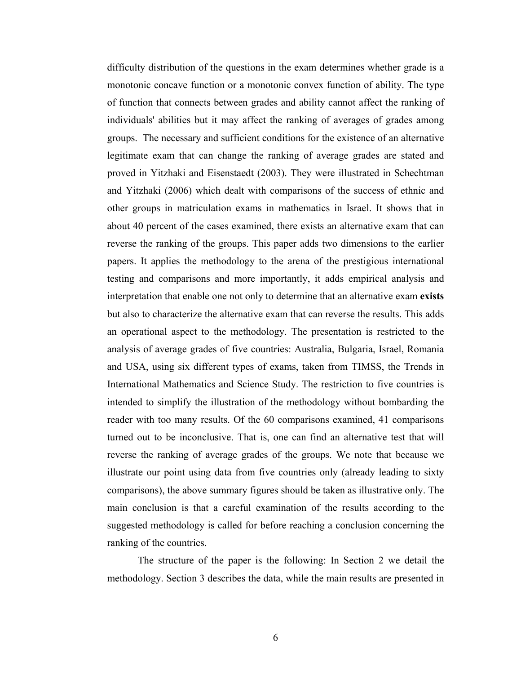difficulty distribution of the questions in the exam determines whether grade is a monotonic concave function or a monotonic convex function of ability. The type of function that connects between grades and ability cannot affect the ranking of individuals' abilities but it may affect the ranking of averages of grades among groups. The necessary and sufficient conditions for the existence of an alternative legitimate exam that can change the ranking of average grades are stated and proved in Yitzhaki and Eisenstaedt (2003). They were illustrated in Schechtman and Yitzhaki (2006) which dealt with comparisons of the success of ethnic and other groups in matriculation exams in mathematics in Israel. It shows that in about 40 percent of the cases examined, there exists an alternative exam that can reverse the ranking of the groups. This paper adds two dimensions to the earlier papers. It applies the methodology to the arena of the prestigious international testing and comparisons and more importantly, it adds empirical analysis and interpretation that enable one not only to determine that an alternative exam **exists** but also to characterize the alternative exam that can reverse the results. This adds an operational aspect to the methodology. The presentation is restricted to the analysis of average grades of five countries: Australia, Bulgaria, Israel, Romania and USA, using six different types of exams, taken from TIMSS, the Trends in International Mathematics and Science Study. The restriction to five countries is intended to simplify the illustration of the methodology without bombarding the reader with too many results. Of the 60 comparisons examined, 41 comparisons turned out to be inconclusive. That is, one can find an alternative test that will reverse the ranking of average grades of the groups. We note that because we illustrate our point using data from five countries only (already leading to sixty comparisons), the above summary figures should be taken as illustrative only. The main conclusion is that a careful examination of the results according to the suggested methodology is called for before reaching a conclusion concerning the ranking of the countries.

The structure of the paper is the following: In Section 2 we detail the methodology. Section 3 describes the data, while the main results are presented in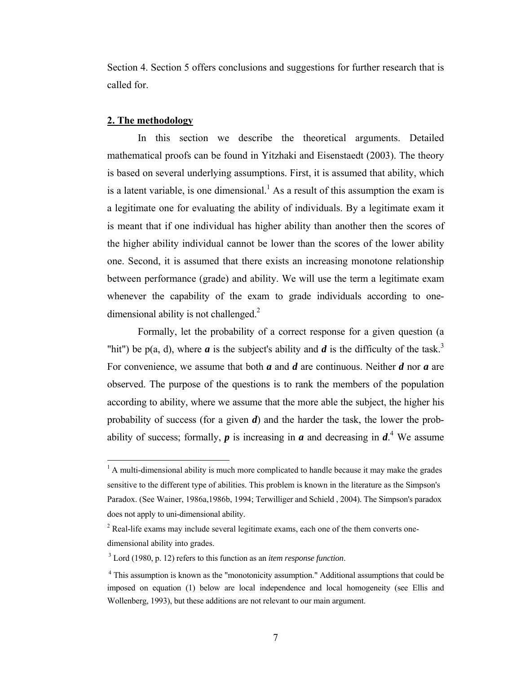Section 4. Section 5 offers conclusions and suggestions for further research that is called for.

#### **2. The methodology**

1

In this section we describe the theoretical arguments. Detailed mathematical proofs can be found in Yitzhaki and Eisenstaedt (2003). The theory is based on several underlying assumptions. First, it is assumed that ability, which is a latent variable, is one dimensional.<sup>[1](#page-5-0)</sup> As a result of this assumption the exam is a legitimate one for evaluating the ability of individuals. By a legitimate exam it is meant that if one individual has higher ability than another then the scores of the higher ability individual cannot be lower than the scores of the lower ability one. Second, it is assumed that there exists an increasing monotone relationship between performance (grade) and ability. We will use the term a legitimate exam whenever the capability of the exam to grade individuals according to onedimensional ability is not challenged. $2$ 

Formally, let the probability of a correct response for a given question (a "hit") be p(a, d), where *a* is the subject's ability and *d* is the difficulty of the task.<sup>3</sup> For convenience, we assume that both *a* and *d* are continuous. Neither *d* nor *a* are observed. The purpose of the questions is to rank the members of the population according to ability, where we assume that the more able the subject, the higher his probability of success (for a given *d*) and the harder the task, the lower the probabilityof success; formally,  $p$  is increasing in  $a$  and decreasing in  $d<sup>4</sup>$ . We assume

<span id="page-5-0"></span> $<sup>1</sup>$  A multi-dimensional ability is much more complicated to handle because it may make the grades</sup> sensitive to the different type of abilities. This problem is known in the literature as the Simpson's Paradox. (See Wainer, 1986a,1986b, 1994; Terwilliger and Schield , 2004). The Simpson's paradox does not apply to uni-dimensional ability.

<span id="page-5-1"></span> $2^2$  Real-life exams may include several legitimate exams, each one of the them converts onedimensional ability into grades.

<span id="page-5-2"></span><sup>3</sup> Lord (1980, p. 12) refers to this function as an *item response function*.

<span id="page-5-3"></span> <sup>4</sup> This assumption is known as the "monotonicity assumption." Additional assumptions that could be imposed on equation (1) below are local independence and local homogeneity (see Ellis and Wollenberg, 1993), but these additions are not relevant to our main argument.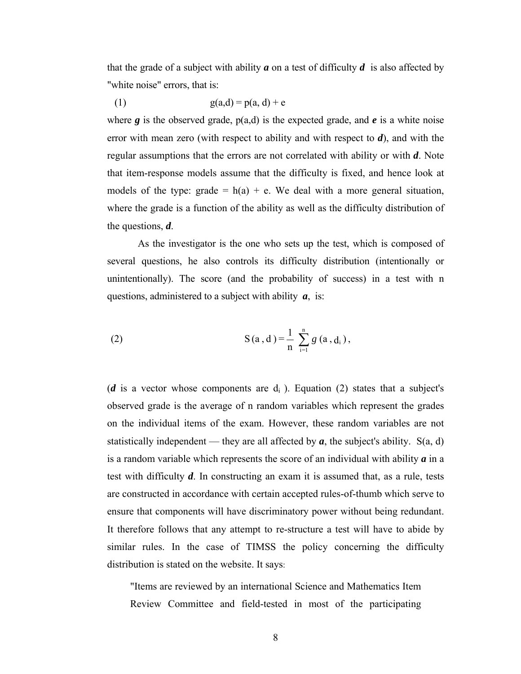that the grade of a subject with ability  $\boldsymbol{a}$  on a test of difficulty  $\boldsymbol{d}$  is also affected by "white noise" errors, that is:

(1) 
$$
g(a,d) = p(a, d) + e
$$

where  $g$  is the observed grade,  $p(a,d)$  is the expected grade, and  $e$  is a white noise error with mean zero (with respect to ability and with respect to *d*), and with the regular assumptions that the errors are not correlated with ability or with *d*. Note that item-response models assume that the difficulty is fixed, and hence look at models of the type: grade  $= h(a) + e$ . We deal with a more general situation, where the grade is a function of the ability as well as the difficulty distribution of the questions, *d*.

As the investigator is the one who sets up the test, which is composed of several questions, he also controls its difficulty distribution (intentionally or unintentionally). The score (and the probability of success) in a test with n questions, administered to a subject with ability *a*, is:

(2) 
$$
S(a,d) = \frac{1}{n} \sum_{i=1}^{n} g(a,d_i),
$$

(*d* is a vector whose components are  $d_i$ ). Equation (2) states that a subject's observed grade is the average of n random variables which represent the grades on the individual items of the exam. However, these random variables are not statistically independent — they are all affected by  $a$ , the subject's ability. S(a, d) is a random variable which represents the score of an individual with ability *a* in a test with difficulty *d*. In constructing an exam it is assumed that, as a rule, tests are constructed in accordance with certain accepted rules-of-thumb which serve to ensure that components will have discriminatory power without being redundant. It therefore follows that any attempt to re-structure a test will have to abide by similar rules. In the case of TIMSS the policy concerning the difficulty distribution is stated on the website. It says:

"Items are reviewed by an international Science and Mathematics Item Review Committee and field-tested in most of the participating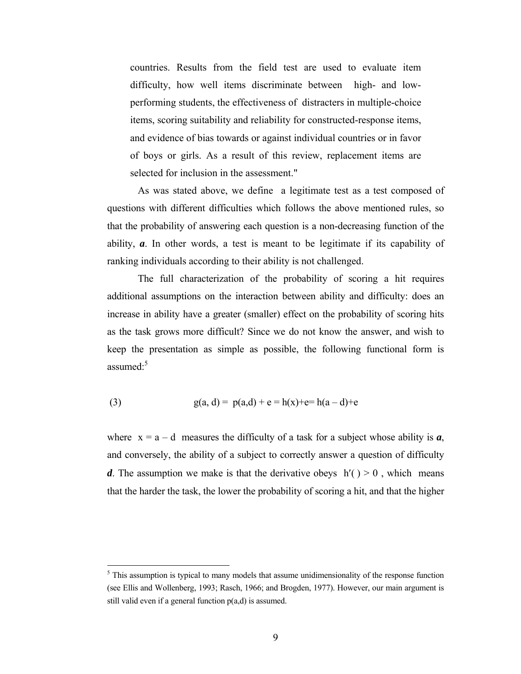countries. Results from the field test are used to evaluate item difficulty, how well items discriminate between high- and lowperforming students, the effectiveness of distracters in multiple-choice items, scoring suitability and reliability for constructed-response items, and evidence of bias towards or against individual countries or in favor of boys or girls. As a result of this review, replacement items are selected for inclusion in the assessment."

As was stated above, we define a legitimate test as a test composed of questions with different difficulties which follows the above mentioned rules, so that the probability of answering each question is a non-decreasing function of the ability, *a*. In other words, a test is meant to be legitimate if its capability of ranking individuals according to their ability is not challenged.

The full characterization of the probability of scoring a hit requires additional assumptions on the interaction between ability and difficulty: does an increase in ability have a greater (smaller) effect on the probability of scoring hits as the task grows more difficult? Since we do not know the answer, and wish to keep the presentation as simple as possible, the following functional form is assumed: $5$ 

(3) 
$$
g(a, d) = p(a,d) + e = h(x) + e = h(a-d) + e
$$

 $\overline{a}$ 

where  $x = a - d$  measures the difficulty of a task for a subject whose ability is  $a$ , and conversely, the ability of a subject to correctly answer a question of difficulty *d*. The assumption we make is that the derivative obeys  $h'(t) > 0$ , which means that the harder the task, the lower the probability of scoring a hit, and that the higher

<span id="page-7-0"></span> $<sup>5</sup>$  This assumption is typical to many models that assume unidimensionality of the response function</sup> (see Ellis and Wollenberg, 1993; Rasch, 1966; and Brogden, 1977). However, our main argument is still valid even if a general function p(a,d) is assumed.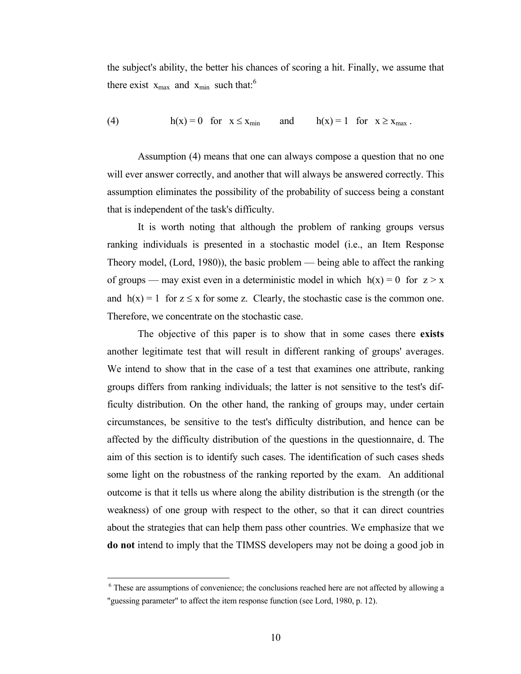the subject's ability, the better his chances of scoring a hit. Finally, we assume that there exist  $x_{max}$  and  $x_{min}$  such that:<sup>[6](#page-8-0)</sup>

(4) 
$$
h(x) = 0 \text{ for } x \leq x_{\min} \text{ and } h(x) = 1 \text{ for } x \geq x_{\max}.
$$

Assumption (4) means that one can always compose a question that no one will ever answer correctly, and another that will always be answered correctly. This assumption eliminates the possibility of the probability of success being a constant that is independent of the task's difficulty.

It is worth noting that although the problem of ranking groups versus ranking individuals is presented in a stochastic model (i.e., an Item Response Theory model, (Lord, 1980)), the basic problem — being able to affect the ranking of groups — may exist even in a deterministic model in which  $h(x) = 0$  for  $z > x$ and  $h(x) = 1$  for  $z \le x$  for some z. Clearly, the stochastic case is the common one. Therefore, we concentrate on the stochastic case.

The objective of this paper is to show that in some cases there **exists** another legitimate test that will result in different ranking of groups' averages. We intend to show that in the case of a test that examines one attribute, ranking groups differs from ranking individuals; the latter is not sensitive to the test's difficulty distribution. On the other hand, the ranking of groups may, under certain circumstances, be sensitive to the test's difficulty distribution, and hence can be affected by the difficulty distribution of the questions in the questionnaire, d. The aim of this section is to identify such cases. The identification of such cases sheds some light on the robustness of the ranking reported by the exam. An additional outcome is that it tells us where along the ability distribution is the strength (or the weakness) of one group with respect to the other, so that it can direct countries about the strategies that can help them pass other countries. We emphasize that we **do not** intend to imply that the TIMSS developers may not be doing a good job in

1

<span id="page-8-0"></span><sup>&</sup>lt;sup>6</sup> These are assumptions of convenience; the conclusions reached here are not affected by allowing a "guessing parameter" to affect the item response function (see Lord, 1980, p. 12).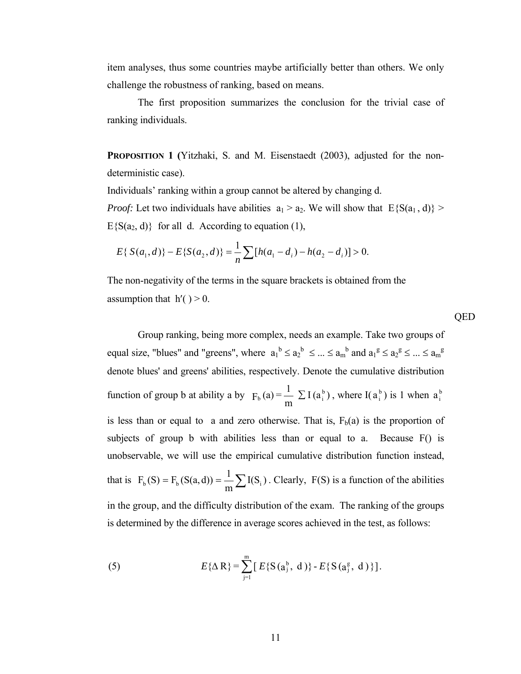item analyses, thus some countries maybe artificially better than others. We only challenge the robustness of ranking, based on means.

The first proposition summarizes the conclusion for the trivial case of ranking individuals.

**PROPOSITION 1 (**Yitzhaki, S. and M. Eisenstaedt (2003), adjusted for the nondeterministic case).

Individuals' ranking within a group cannot be altered by changing d.

*Proof:* Let two individuals have abilities  $a_1 > a_2$ . We will show that  $E\{S(a_1, d)\}$  $E\{S(a_2, d)\}\$  for all d. According to equation (1),

QED

$$
E\{S(a_1, d)\} - E\{S(a_2, d)\} = \frac{1}{n} \sum [h(a_1 - d_i) - h(a_2 - d_i)] > 0.
$$

The non-negativity of the terms in the square brackets is obtained from the assumption that  $h'( ) > 0$ .

Group ranking, being more complex, needs an example. Take two groups of equal size, "blues" and "greens", where  $a_1^b \le a_2^b \le ... \le a_m^b$  and  $a_1^g \le a_2^g \le ... \le a_m^g$ denote blues' and greens' abilities, respectively. Denote the cumulative distribution function of group b at ability a by  $F_b(a) = \frac{1}{a} \sum I(a_i^b)$ m  $F_b(a) = \frac{1}{n} \sum I(a_i^b)$ , where  $I(a_i^b)$  is 1 when  $a_i^b$ is less than or equal to a and zero otherwise. That is,  $F_b(a)$  is the proportion of subjects of group b with abilities less than or equal to a. Because F() is unobservable, we will use the empirical cumulative distribution function instead, that is  $F_b(S) = F_b(S(a, d)) = \frac{1}{m} \sum I(S_i)$ . Clearly,  $F(S)$  is a function of the abilities in the group, and the difficulty distribution of the exam. The ranking of the groups is determined by the difference in average scores achieved in the test, as follows:

(5) 
$$
E{\{\Delta R\}} = \sum_{j=1}^{m} [E{S(a_j^b, d)} - E{S(a_j^g, d)}].
$$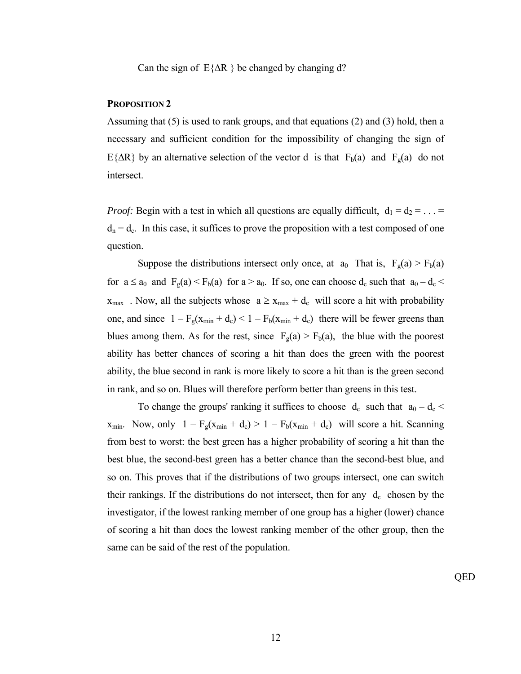Can the sign of  $E{ΔR}$  be changed by changing d?

## **PROPOSITION 2**

Assuming that (5) is used to rank groups, and that equations (2) and (3) hold, then a necessary and sufficient condition for the impossibility of changing the sign of E{ $\Delta$ R} by an alternative selection of the vector d is that F<sub>b</sub>(a) and F<sub>g</sub>(a) do not intersect.

*Proof:* Begin with a test in which all questions are equally difficult,  $d_1 = d_2 = ...$  $d_n = d_c$ . In this case, it suffices to prove the proposition with a test composed of one question.

Suppose the distributions intersect only once, at  $a_0$  That is,  $F_g(a) > F_b(a)$ for  $a \le a_0$  and  $F_g(a) \le F_b(a)$  for  $a > a_0$ . If so, one can choose  $d_c$  such that  $a_0 - d_c$  $x_{max}$ . Now, all the subjects whose  $a \ge x_{max} + d_c$  will score a hit with probability one, and since  $1 - F_g(x_{min} + d_c) < 1 - F_b(x_{min} + d_c)$  there will be fewer greens than blues among them. As for the rest, since  $F_g(a) > F_b(a)$ , the blue with the poorest ability has better chances of scoring a hit than does the green with the poorest ability, the blue second in rank is more likely to score a hit than is the green second in rank, and so on. Blues will therefore perform better than greens in this test.

To change the groups' ranking it suffices to choose  $d_c$  such that  $a_0 - d_c$  $x_{min}$ . Now, only  $1 - F_g(x_{min} + d_c) > 1 - F_b(x_{min} + d_c)$  will score a hit. Scanning from best to worst: the best green has a higher probability of scoring a hit than the best blue, the second-best green has a better chance than the second-best blue, and so on. This proves that if the distributions of two groups intersect, one can switch their rankings. If the distributions do not intersect, then for any  $d_c$  chosen by the investigator, if the lowest ranking member of one group has a higher (lower) chance of scoring a hit than does the lowest ranking member of the other group, then the same can be said of the rest of the population.

QED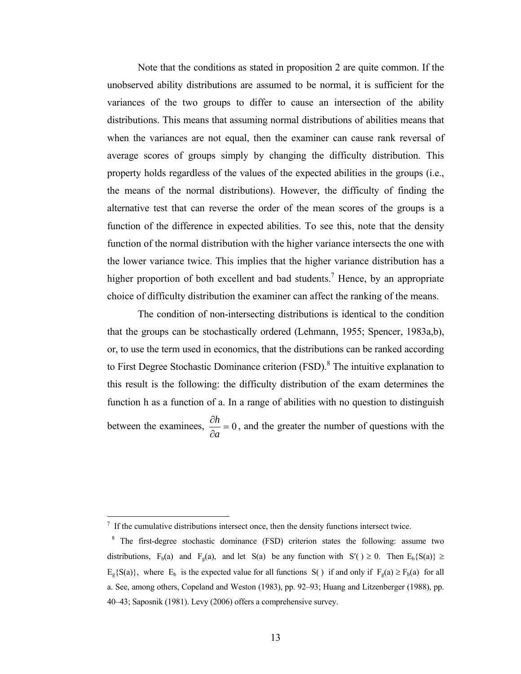Note that the conditions as stated in proposition 2 are quite common. If the unobserved ability distributions are assumed to be normal, it is sufficient for the variances of the two groups to differ to cause an intersection of the ability distributions. This means that assuming normal distributions of abilities means that when the variances are not equal, then the examiner can cause rank reversal of average scores of groups simply by changing the difficulty distribution. This property holds regardless of the values of the expected abilities in the groups (i.e., the means of the normal distributions). However, the difficulty of finding the alternative test that can reverse the order of the mean scores of the groups is a function of the difference in expected abilities. To see this, note that the density function of the normal distribution with the higher variance intersects the one with the lower variance twice. This implies that the higher variance distribution has a higher proportion of both excellent and bad students.<sup>7</sup> Hence, by an appropriate choice of difficulty distribution the examiner can affect the ranking of the means.

The condition of non-intersecting distributions is identical to the condition that the groups can be stochastically ordered (Lehmann, 1955; Spencer, 1983a,b), or, to use the term used in economics, that the distributions can be ranked according to First Degree Stochastic Dominance criterion  $(FSD)$ .<sup>8</sup> The intuitive explanation to this result is the following: the difficulty distribution of the exam determines the function h as a function of a. In a range of abilities with no question to distinguish between the examinees,  $\frac{\partial h}{\partial t} = 0$ ∂ ∂ *a*  $h = 0$ , and the greater the number of questions with the

1

<span id="page-11-0"></span> $<sup>7</sup>$  If the cumulative distributions intersect once, then the density functions intersect twice.</sup>

<span id="page-11-1"></span><sup>&</sup>lt;sup>8</sup> The first-degree stochastic dominance (FSD) criterion states the following: assume two distributions,  $F_b(a)$  and  $F_c(a)$ , and let S(a) be any function with S'()  $\geq 0$ . Then  $E_b$ {S(a)}  $\geq$  $E_g{S(a)}$ , where  $E_b$  is the expected value for all functions S() if and only if  $F_g(a) \ge F_b(a)$  for all a. See, among others, Copeland and Weston (1983), pp. 92–93; Huang and Litzenberger (1988), pp. 40–43; Saposnik (1981). Levy (2006) offers a comprehensive survey.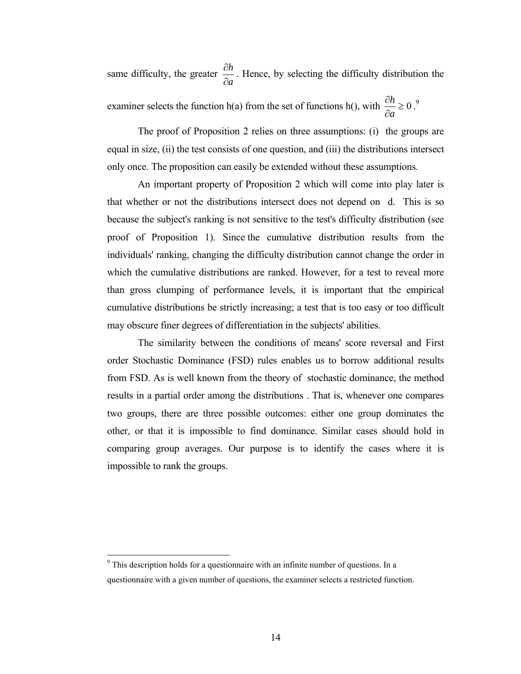same difficulty, the greater *a h* ∂  $\frac{\partial h}{\partial \mathbf{r}}$ . Hence, by selecting the difficulty distribution the ∂

examiner selects the function h(a) from the set of functions h(), with  $\frac{cn}{2} \ge 0$ ∂ *a*  $h \geq 0.9$  $h \geq 0.9$ 

The proof of Proposition 2 relies on three assumptions: (i) the groups are equal in size, (ii) the test consists of one question, and (iii) the distributions intersect only once. The proposition can easily be extended without these assumptions.

An important property of Proposition 2 which will come into play later is that whether or not the distributions intersect does not depend on d. This is so because the subject's ranking is not sensitive to the test's difficulty distribution (see proof of Proposition 1). Since the cumulative distribution results from the individuals' ranking, changing the difficulty distribution cannot change the order in which the cumulative distributions are ranked. However, for a test to reveal more than gross clumping of performance levels, it is important that the empirical cumulative distributions be strictly increasing; a test that is too easy or too difficult may obscure finer degrees of differentiation in the subjects' abilities.

The similarity between the conditions of means' score reversal and First order Stochastic Dominance (FSD) rules enables us to borrow additional results from FSD. As is well known from the theory of stochastic dominance, the method results in a partial order among the distributions . That is, whenever one compares two groups, there are three possible outcomes: either one group dominates the other, or that it is impossible to find dominance. Similar cases should hold in comparing group averages. Our purpose is to identify the cases where it is impossible to rank the groups.

<span id="page-12-0"></span><sup>&</sup>lt;sup>9</sup> This description holds for a questionnaire with an infinite number of questions. In a questionnaire with a given number of questions, the examiner selects a restricted function.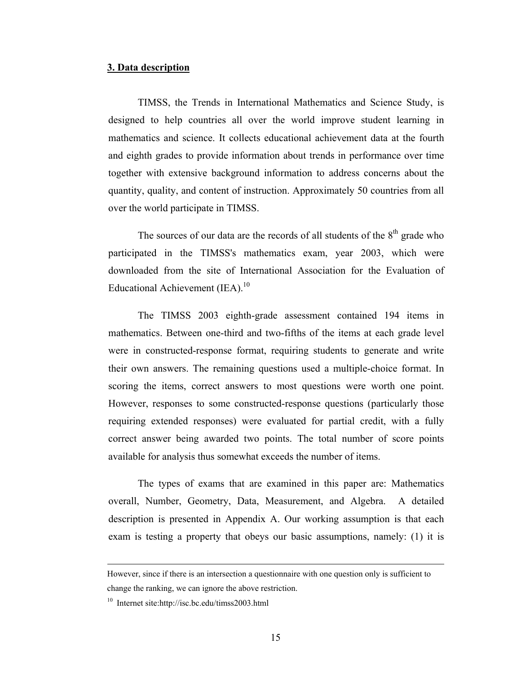#### **3. Data description**

TIMSS, the Trends in International Mathematics and Science Study, is designed to help countries all over the world improve student learning in mathematics and science. It collects educational achievement data at the fourth and eighth grades to provide information about trends in performance over time together with extensive background information to address concerns about the quantity, quality, and content of instruction. Approximately 50 countries from all over the world participate in TIMSS.

The sources of our data are the records of all students of the  $8<sup>th</sup>$  grade who participated in the TIMSS's mathematics exam, year 2003, which were downloaded from the site of International Association for the Evaluation of Educational Achievement (IEA).<sup>10</sup>

The TIMSS 2003 eighth-grade assessment contained 194 items in mathematics. Between one-third and two-fifths of the items at each grade level were in constructed-response format, requiring students to generate and write their own answers. The remaining questions used a multiple-choice format. In scoring the items, correct answers to most questions were worth one point. However, responses to some constructed-response questions (particularly those requiring extended responses) were evaluated for partial credit, with a fully correct answer being awarded two points. The total number of score points available for analysis thus somewhat exceeds the number of items.

The types of exams that are examined in this paper are: Mathematics overall, Number, Geometry, Data, Measurement, and Algebra. A detailed description is presented in Appendix A. Our working assumption is that each exam is testing a property that obeys our basic assumptions, namely: (1) it is

However, since if there is an intersection a questionnaire with one question only is sufficient to change the ranking, we can ignore the above restriction.

<sup>10</sup> Internet site:http://isc.bc.edu/timss2003.html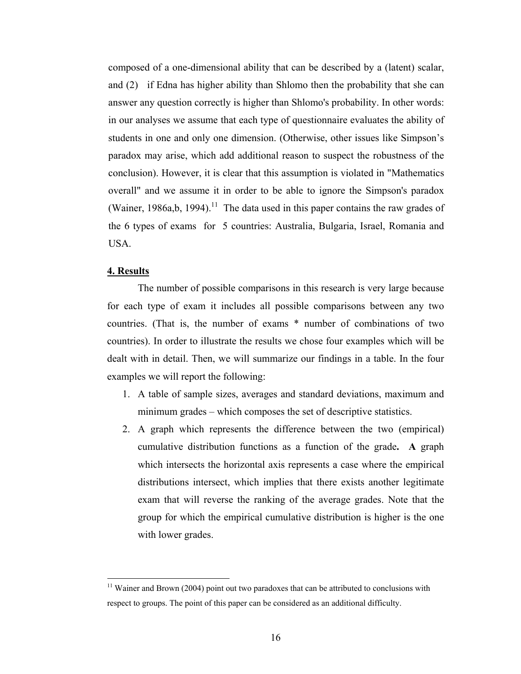composed of a one-dimensional ability that can be described by a (latent) scalar, and (2) if Edna has higher ability than Shlomo then the probability that she can answer any question correctly is higher than Shlomo's probability. In other words: in our analyses we assume that each type of questionnaire evaluates the ability of students in one and only one dimension. (Otherwise, other issues like Simpson's paradox may arise, which add additional reason to suspect the robustness of the conclusion). However, it is clear that this assumption is violated in "Mathematics overall" and we assume [it](#page-14-0) in order to be able to ignore the Simpson's paradox (Wainer, 1986a,b, 1994).<sup>11</sup> The data used in this paper contains the raw grades of the 6 types of exams for 5 countries: Australia, Bulgaria, Israel, Romania and USA.

#### **4. Results**

 $\overline{a}$ 

The number of possible comparisons in this research is very large because for each type of exam it includes all possible comparisons between any two countries. (That is, the number of exams \* number of combinations of two countries). In order to illustrate the results we chose four examples which will be dealt with in detail. Then, we will summarize our findings in a table. In the four examples we will report the following:

- 1. A table of sample sizes, averages and standard deviations, maximum and minimum grades – which composes the set of descriptive statistics.
- 2. A graph which represents the difference between the two (empirical) cumulative distribution functions as a function of the grade**. A** graph which intersects the horizontal axis represents a case where the empirical distributions intersect, which implies that there exists another legitimate exam that will reverse the ranking of the average grades. Note that the group for which the empirical cumulative distribution is higher is the one with lower grades.

<span id="page-14-0"></span> $11$  Wainer and Brown (2004) point out two paradoxes that can be attributed to conclusions with respect to groups. The point of this paper can be considered as an additional difficulty.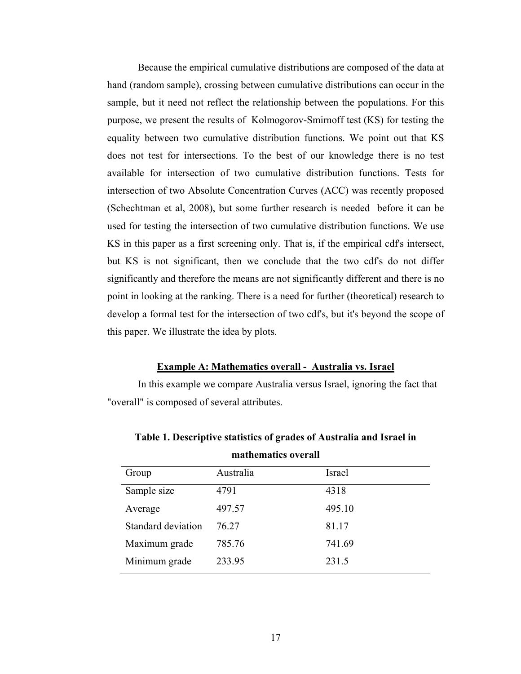Because the empirical cumulative distributions are composed of the data at hand (random sample), crossing between cumulative distributions can occur in the sample, but it need not reflect the relationship between the populations. For this purpose, we present the results of Kolmogorov-Smirnoff test (KS) for testing the equality between two cumulative distribution functions. We point out that KS does not test for intersections. To the best of our knowledge there is no test available for intersection of two cumulative distribution functions. Tests for intersection of two Absolute Concentration Curves (ACC) was recently proposed (Schechtman et al, 2008), but some further research is needed before it can be used for testing the intersection of two cumulative distribution functions. We use KS in this paper as a first screening only. That is, if the empirical cdf's intersect, but KS is not significant, then we conclude that the two cdf's do not differ significantly and therefore the means are not significantly different and there is no point in looking at the ranking. There is a need for further (theoretical) research to develop a formal test for the intersection of two cdf's, but it's beyond the scope of this paper. We illustrate the idea by plots.

# **Example A: Mathematics overall - Australia vs. Israel**

In this example we compare Australia versus Israel, ignoring the fact that "overall" is composed of several attributes.

| Group              | Australia | Israel |
|--------------------|-----------|--------|
| Sample size        | 4791      | 4318   |
| Average            | 497.57    | 495.10 |
| Standard deviation | 76 27     | 81.17  |
| Maximum grade      | 785.76    | 741.69 |
| Minimum grade      | 233.95    | 231.5  |

**Table 1. Descriptive statistics of grades of Australia and Israel in mathematics overall**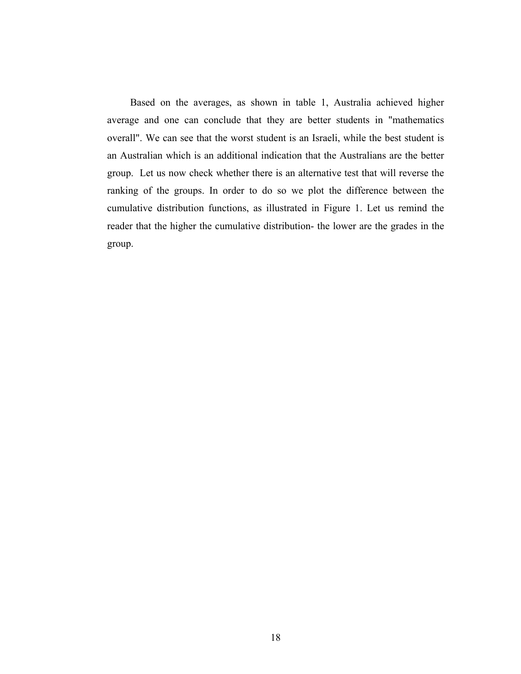Based on the averages, as shown in table 1, Australia achieved higher average and one can conclude that they are better students in "mathematics overall". We can see that the worst student is an Israeli, while the best student is an Australian which is an additional indication that the Australians are the better group. Let us now check whether there is an alternative test that will reverse the ranking of the groups. In order to do so we plot the difference between the cumulative distribution functions, as illustrated in Figure 1. Let us remind the reader that the higher the cumulative distribution- the lower are the grades in the group.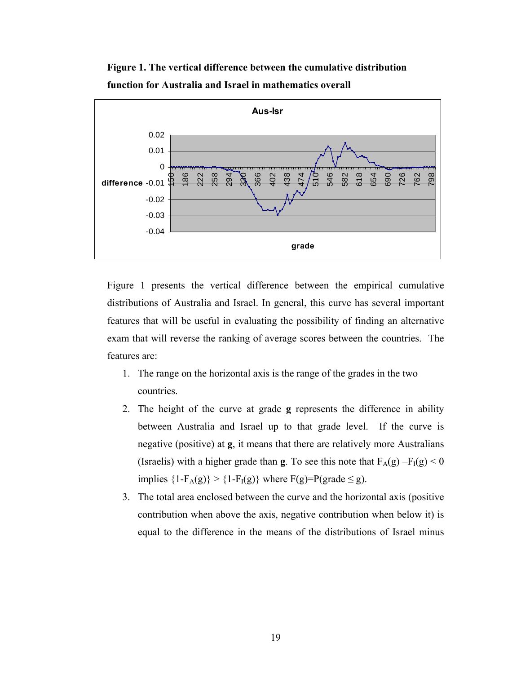

**Figure 1. The vertical difference between the cumulative distribution function for Australia and Israel in mathematics overall** 

Figure 1 presents the vertical difference between the empirical cumulative distributions of Australia and Israel. In general, this curve has several important features that will be useful in evaluating the possibility of finding an alternative exam that will reverse the ranking of average scores between the countries. The features are:

- 1. The range on the horizontal axis is the range of the grades in the two countries.
- 2. The height of the curve at grade **g** represents the difference in ability between Australia and Israel up to that grade level. If the curve is negative (positive) at **g**, it means that there are relatively more Australians (Israelis) with a higher grade than **g**. To see this note that  $F_A(g) - F_I(g) < 0$ implies  ${1-F_A(g)} > {1-F_I(g)}$  where  $F(g)=P(grade \le g)$ .
- 3. The total area enclosed between the curve and the horizontal axis (positive contribution when above the axis, negative contribution when below it) is equal to the difference in the means of the distributions of Israel minus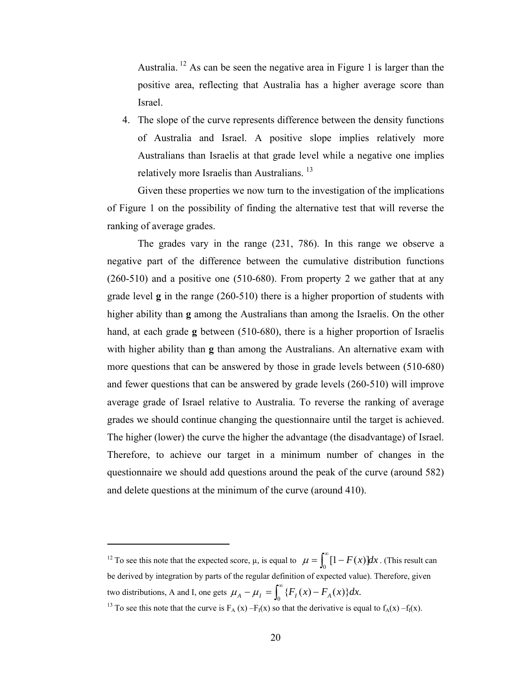Australia. [12 A](#page-18-0)s can be seen the negative area in Figure 1 is larger than the positive area, reflecting that Australia has a higher average score than Israel.

4. The slope of the curve represents difference between the density functions of Australia and Israel. A positive slope implies relatively more Australians than Israelis at that grade level while a negative one implies relatively more Israelis than Australians.<sup>13</sup>

Given these properties we now turn to the investigation of the implications of Figure 1 on the possibility of finding the alternative test that will reverse the ranking of average grades.

The grades vary in the range (231, 786). In this range we observe a negative part of the difference between the cumulative distribution functions (260-510) and a positive one (510-680). From property 2 we gather that at any grade level **g** in the range (260-510) there is a higher proportion of students with higher ability than **g** among the Australians than among the Israelis. On the other hand, at each grade **g** between (510-680), there is a higher proportion of Israelis with higher ability than **g** than among the Australians. An alternative exam with more questions that can be answered by those in grade levels between (510-680) and fewer questions that can be answered by grade levels (260-510) will improve average grade of Israel relative to Australia. To reverse the ranking of average grades we should continue changing the questionnaire until the target is achieved. The higher (lower) the curve the higher the advantage (the disadvantage) of Israel. Therefore, to achieve our target in a minimum number of changes in the questionnaire we should add questions around the peak of the curve (around 582) and delete questions at the minimum of the curve (around 410).

1

<span id="page-18-0"></span><sup>&</sup>lt;sup>12</sup> To see this note that the expected score,  $\mu$ , is equal to  $\mu = \int_0^\infty [1 - F(x)] dx$ . (This result can be derived by integration by parts of the regular definition of expected value). Therefore, given two distributions, A and I, one gets  $\mu_A - \mu_I = \int_0^\infty {\{F_I(x) - F_A(x)\} dx}$ .

<span id="page-18-1"></span><sup>&</sup>lt;sup>13</sup> To see this note that the curve is  $F_A(x) - F_I(x)$  so that the derivative is equal to  $f_A(x) - f_I(x)$ .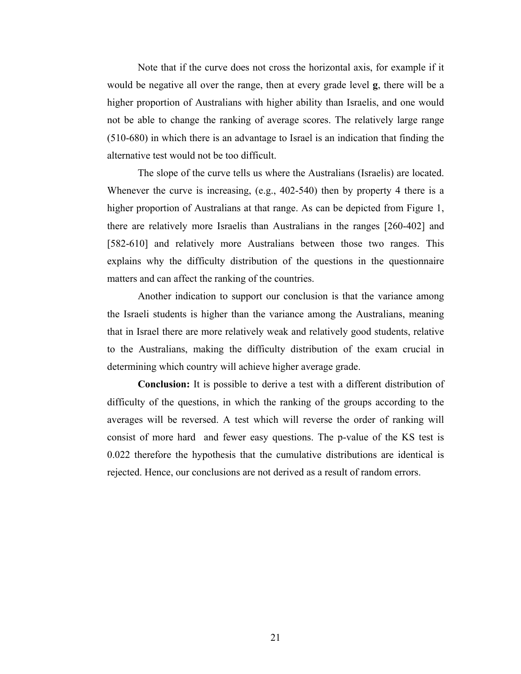Note that if the curve does not cross the horizontal axis, for example if it would be negative all over the range, then at every grade level **g**, there will be a higher proportion of Australians with higher ability than Israelis, and one would not be able to change the ranking of average scores. The relatively large range (510-680) in which there is an advantage to Israel is an indication that finding the alternative test would not be too difficult.

The slope of the curve tells us where the Australians (Israelis) are located. Whenever the curve is increasing, (e.g., 402-540) then by property 4 there is a higher proportion of Australians at that range. As can be depicted from Figure 1, there are relatively more Israelis than Australians in the ranges [260-402] and [582-610] and relatively more Australians between those two ranges. This explains why the difficulty distribution of the questions in the questionnaire matters and can affect the ranking of the countries.

Another indication to support our conclusion is that the variance among the Israeli students is higher than the variance among the Australians, meaning that in Israel there are more relatively weak and relatively good students, relative to the Australians, making the difficulty distribution of the exam crucial in determining which country will achieve higher average grade.

**Conclusion:** It is possible to derive a test with a different distribution of difficulty of the questions, in which the ranking of the groups according to the averages will be reversed. A test which will reverse the order of ranking will consist of more hard and fewer easy questions. The p-value of the KS test is 0.022 therefore the hypothesis that the cumulative distributions are identical is rejected. Hence, our conclusions are not derived as a result of random errors.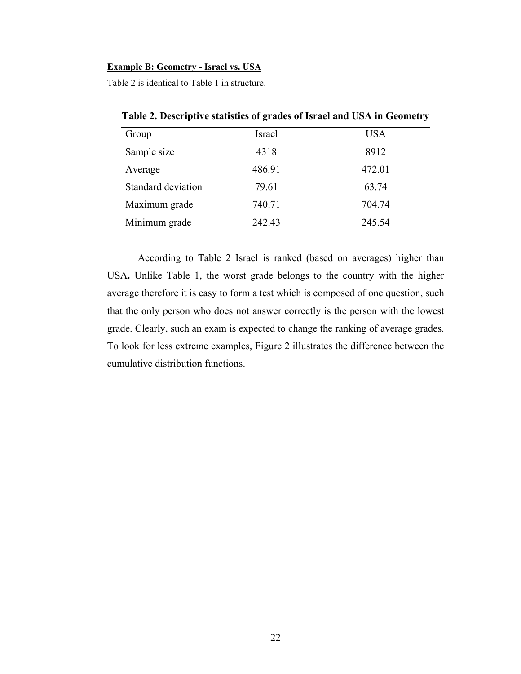#### **Example B: Geometry - Israel vs. USA**

Table 2 is identical to Table 1 in structure.

| Group              | Israel | <b>USA</b> |
|--------------------|--------|------------|
| Sample size        | 4318   | 8912       |
| Average            | 486.91 | 472.01     |
| Standard deviation | 79.61  | 63.74      |
| Maximum grade      | 740.71 | 704.74     |
| Minimum grade      | 242.43 | 245.54     |

 **Table 2. Descriptive statistics of grades of Israel and USA in Geometry**

According to Table 2 Israel is ranked (based on averages) higher than USA**.** Unlike Table 1, the worst grade belongs to the country with the higher average therefore it is easy to form a test which is composed of one question, such that the only person who does not answer correctly is the person with the lowest grade. Clearly, such an exam is expected to change the ranking of average grades. To look for less extreme examples, Figure 2 illustrates the difference between the cumulative distribution functions.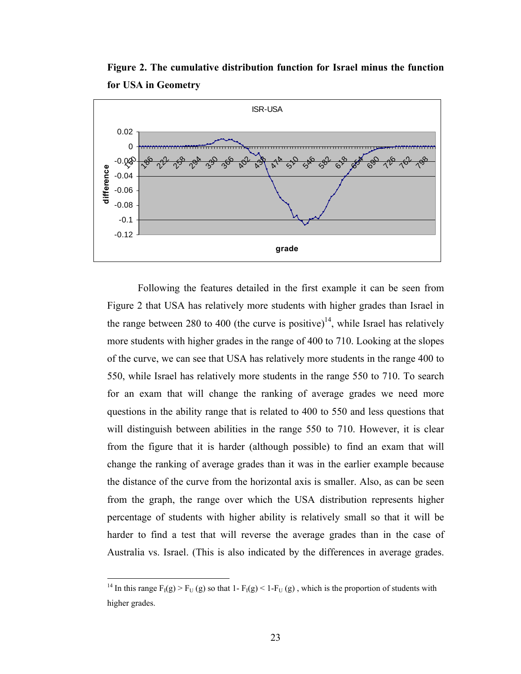**Figure 2. The cumulative distribution function for Israel minus the function for USA in Geometry** 



Following the features detailed in the first example it can be seen from Figure 2 that USA has relatively more students with higher grades than Israel in the range between 280 to 400 (the curve is positive)<sup>14</sup>, while Israel has relatively more students with higher grades in the range of 400 to 710. Looking at the slopes of the curve, we can see that USA has relatively more students in the range 400 to 550, while Israel has relatively more students in the range 550 to 710. To search for an exam that will change the ranking of average grades we need more questions in the ability range that is related to 400 to 550 and less questions that will distinguish between abilities in the range 550 to 710. However, it is clear from the figure that it is harder (although possible) to find an exam that will change the ranking of average grades than it was in the earlier example because the distance of the curve from the horizontal axis is smaller. Also, as can be seen from the graph, the range over which the USA distribution represents higher percentage of students with higher ability is relatively small so that it will be harder to find a test that will reverse the average grades than in the case of Australia vs. Israel. (This is also indicated by the differences in average grades.

1

<span id="page-21-0"></span><sup>&</sup>lt;sup>14</sup> In this range  $F_1(g) > F_U(g)$  so that 1-  $F_1(g) < 1-F_U(g)$ , which is the proportion of students with higher grades.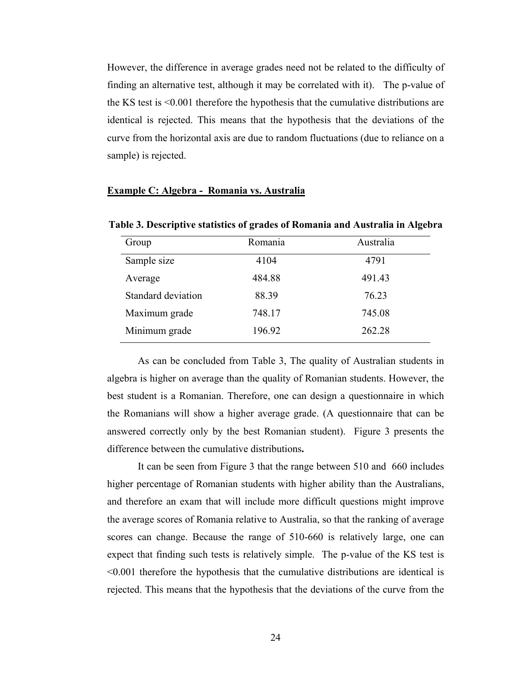However, the difference in average grades need not be related to the difficulty of finding an alternative test, although it may be correlated with it). The p-value of the KS test is <0.001 therefore the hypothesis that the cumulative distributions are identical is rejected. This means that the hypothesis that the deviations of the curve from the horizontal axis are due to random fluctuations (due to reliance on a sample) is rejected.

#### **Example C: Algebra - Romania vs. Australia**

| Group              | Romania | Australia |
|--------------------|---------|-----------|
| Sample size        | 4104    | 4791      |
| Average            | 484.88  | 491.43    |
| Standard deviation | 88.39   | 76.23     |
| Maximum grade      | 748.17  | 745.08    |
| Minimum grade      | 196.92  | 262.28    |

**Table 3. Descriptive statistics of grades of Romania and Australia in Algebra**

As can be concluded from Table 3, The quality of Australian students in algebra is higher on average than the quality of Romanian students. However, the best student is a Romanian. Therefore, one can design a questionnaire in which the Romanians will show a higher average grade. (A questionnaire that can be answered correctly only by the best Romanian student). Figure 3 presents the difference between the cumulative distributions**.** 

It can be seen from Figure 3 that the range between 510 and 660 includes higher percentage of Romanian students with higher ability than the Australians, and therefore an exam that will include more difficult questions might improve the average scores of Romania relative to Australia, so that the ranking of average scores can change. Because the range of 510-660 is relatively large, one can expect that finding such tests is relatively simple. The p-value of the KS test is <0.001 therefore the hypothesis that the cumulative distributions are identical is rejected. This means that the hypothesis that the deviations of the curve from the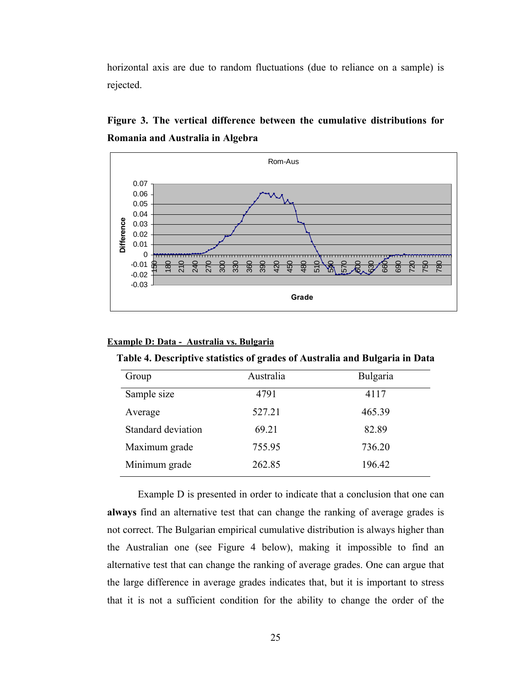horizontal axis are due to random fluctuations (due to reliance on a sample) is rejected.



**Figure 3. The vertical difference between the cumulative distributions for Romania and Australia in Algebra** 

## **Example D: Data - Australia vs. Bulgaria**

|  | Table 4. Descriptive statistics of grades of Australia and Bulgaria in Data |  |
|--|-----------------------------------------------------------------------------|--|
|  |                                                                             |  |

| Group              | Australia | Bulgaria |
|--------------------|-----------|----------|
| Sample size        | 4791      | 4117     |
| Average            | 527.21    | 465.39   |
| Standard deviation | 69.21     | 82.89    |
| Maximum grade      | 755.95    | 736.20   |
| Minimum grade      | 262.85    | 196.42   |

Example D is presented in order to indicate that a conclusion that one can **always** find an alternative test that can change the ranking of average grades is not correct. The Bulgarian empirical cumulative distribution is always higher than the Australian one (see Figure 4 below), making it impossible to find an alternative test that can change the ranking of average grades. One can argue that the large difference in average grades indicates that, but it is important to stress that it is not a sufficient condition for the ability to change the order of the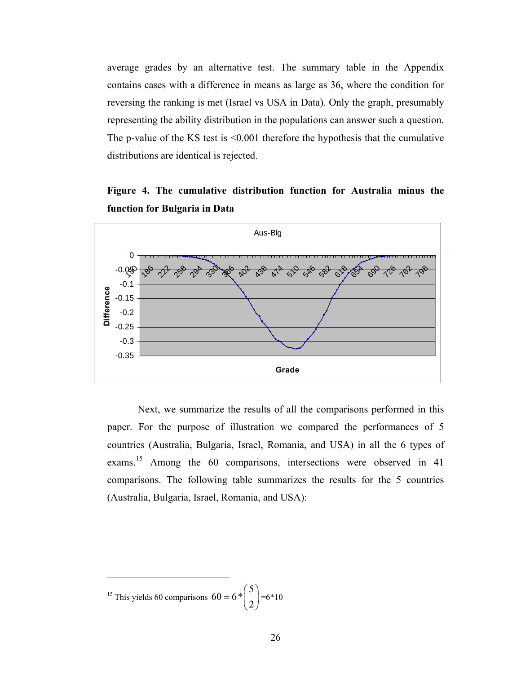average grades by an alternative test. The summary table in the Appendix contains cases with a difference in means as large as 36, where the condition for reversing the ranking is met (Israel vs USA in Data). Only the graph, presumably representing the ability distribution in the populations can answer such a question. The p-value of the KS test is <0.001 therefore the hypothesis that the cumulative distributions are identical is rejected.

# **Figure 4. The cumulative distribution function for Australia minus the function for Bulgaria in Data**



Next, we summarize the results of all the comparisons performed in this paper. For the purpose of illustration we compared the performances of 5 countries (Australia, Bulgaria, Israel, Romania, and USA) in all the 6 types of exams.[15](#page-24-0) Among the 60 comparisons, intersections were observed in 41 comparisons. The following table summarizes the results for the 5 countries (Australia, Bulgaria, Israel, Romania, and USA):

1

<span id="page-24-0"></span><sup>&</sup>lt;sup>15</sup> This yields 60 comparisons  $60 = 6 * \binom{5}{2} = 6 * 10$  $= 6 * \binom{5}{2}$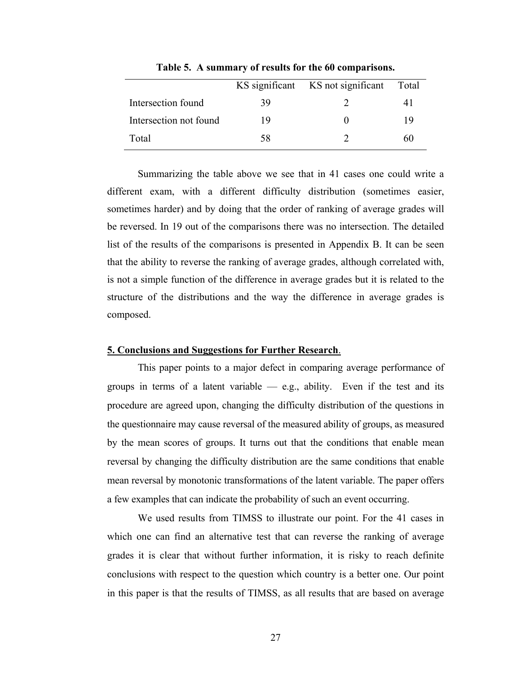|                        |    | KS significant KS not significant | Total |
|------------------------|----|-----------------------------------|-------|
| Intersection found     | 39 |                                   | 4 I   |
| Intersection not found | 19 |                                   | 19    |
| Total                  | 58 |                                   | 60    |

**Table 5. A summary of results for the 60 comparisons.** 

Summarizing the table above we see that in 41 cases one could write a different exam, with a different difficulty distribution (sometimes easier, sometimes harder) and by doing that the order of ranking of average grades will be reversed. In 19 out of the comparisons there was no intersection. The detailed list of the results of the comparisons is presented in Appendix B. It can be seen that the ability to reverse the ranking of average grades, although correlated with, is not a simple function of the difference in average grades but it is related to the structure of the distributions and the way the difference in average grades is composed.

## **5. Conclusions and Suggestions for Further Research**.

This paper points to a major defect in comparing average performance of groups in terms of a latent variable  $-$  e.g., ability. Even if the test and its procedure are agreed upon, changing the difficulty distribution of the questions in the questionnaire may cause reversal of the measured ability of groups, as measured by the mean scores of groups. It turns out that the conditions that enable mean reversal by changing the difficulty distribution are the same conditions that enable mean reversal by monotonic transformations of the latent variable. The paper offers a few examples that can indicate the probability of such an event occurring.

We used results from TIMSS to illustrate our point. For the 41 cases in which one can find an alternative test that can reverse the ranking of average grades it is clear that without further information, it is risky to reach definite conclusions with respect to the question which country is a better one. Our point in this paper is that the results of TIMSS, as all results that are based on average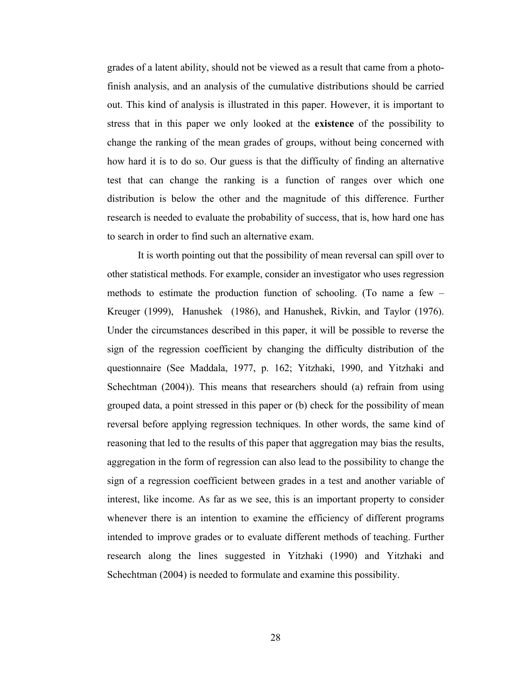grades of a latent ability, should not be viewed as a result that came from a photofinish analysis, and an analysis of the cumulative distributions should be carried out. This kind of analysis is illustrated in this paper. However, it is important to stress that in this paper we only looked at the **existence** of the possibility to change the ranking of the mean grades of groups, without being concerned with how hard it is to do so. Our guess is that the difficulty of finding an alternative test that can change the ranking is a function of ranges over which one distribution is below the other and the magnitude of this difference. Further research is needed to evaluate the probability of success, that is, how hard one has to search in order to find such an alternative exam.

It is worth pointing out that the possibility of mean reversal can spill over to other statistical methods. For example, consider an investigator who uses regression methods to estimate the production function of schooling. (To name a few – Kreuger (1999), Hanushek (1986), and Hanushek, Rivkin, and Taylor (1976). Under the circumstances described in this paper, it will be possible to reverse the sign of the regression coefficient by changing the difficulty distribution of the questionnaire (See Maddala, 1977, p. 162; Yitzhaki, 1990, and Yitzhaki and Schechtman (2004)). This means that researchers should (a) refrain from using grouped data, a point stressed in this paper or (b) check for the possibility of mean reversal before applying regression techniques. In other words, the same kind of reasoning that led to the results of this paper that aggregation may bias the results, aggregation in the form of regression can also lead to the possibility to change the sign of a regression coefficient between grades in a test and another variable of interest, like income. As far as we see, this is an important property to consider whenever there is an intention to examine the efficiency of different programs intended to improve grades or to evaluate different methods of teaching. Further research along the lines suggested in Yitzhaki (1990) and Yitzhaki and Schechtman (2004) is needed to formulate and examine this possibility.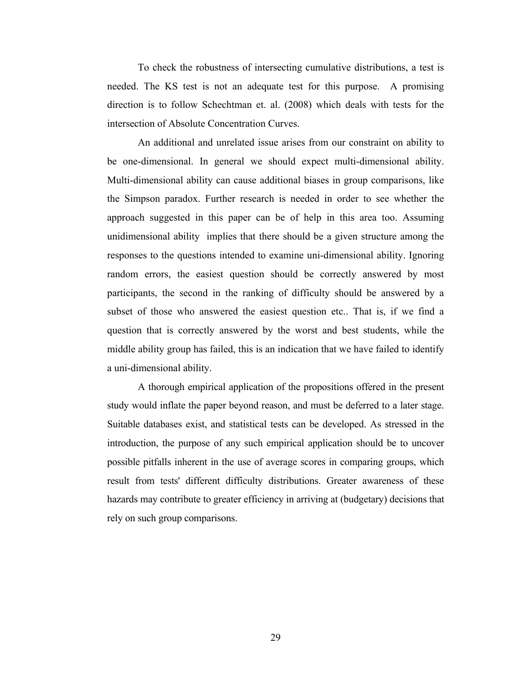To check the robustness of intersecting cumulative distributions, a test is needed. The KS test is not an adequate test for this purpose. A promising direction is to follow Schechtman et. al. (2008) which deals with tests for the intersection of Absolute Concentration Curves.

An additional and unrelated issue arises from our constraint on ability to be one-dimensional. In general we should expect multi-dimensional ability. Multi-dimensional ability can cause additional biases in group comparisons, like the Simpson paradox. Further research is needed in order to see whether the approach suggested in this paper can be of help in this area too. Assuming unidimensional ability implies that there should be a given structure among the responses to the questions intended to examine uni-dimensional ability. Ignoring random errors, the easiest question should be correctly answered by most participants, the second in the ranking of difficulty should be answered by a subset of those who answered the easiest question etc.. That is, if we find a question that is correctly answered by the worst and best students, while the middle ability group has failed, this is an indication that we have failed to identify a uni-dimensional ability.

A thorough empirical application of the propositions offered in the present study would inflate the paper beyond reason, and must be deferred to a later stage. Suitable databases exist, and statistical tests can be developed. As stressed in the introduction, the purpose of any such empirical application should be to uncover possible pitfalls inherent in the use of average scores in comparing groups, which result from tests' different difficulty distributions. Greater awareness of these hazards may contribute to greater efficiency in arriving at (budgetary) decisions that rely on such group comparisons.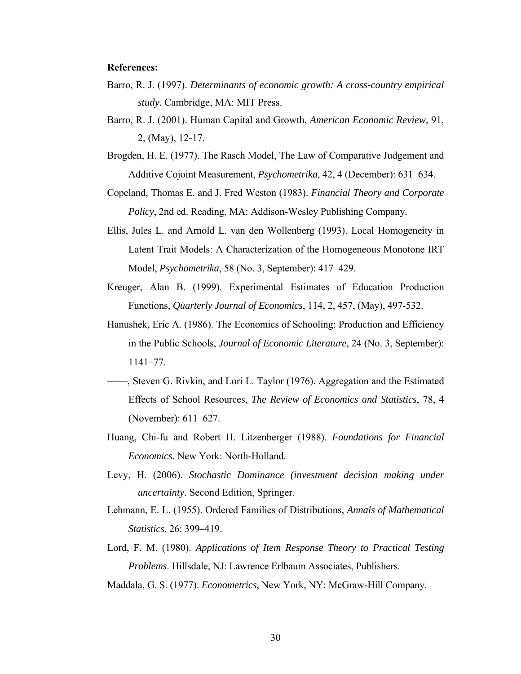## **References:**

- Barro, R. J. (1997). *Determinants of economic growth: A cross-country empirical study.* Cambridge, MA: MIT Press.
- Barro, R. J. (2001). Human Capital and Growth, *American Economic Review*, 91, 2, (May), 12-17.
- Brogden, H. E. (1977). The Rasch Model, The Law of Comparative Judgement and Additive Cojoint Measurement, *Psychometrika*, 42, 4 (December): 631–634.
- Copeland, Thomas E. and J. Fred Weston (1983). *Financial Theory and Corporate Policy*, 2nd ed. Reading, MA: Addison-Wesley Publishing Company.
- Ellis, Jules L. and Arnold L. van den Wollenberg (1993). Local Homogeneity in Latent Trait Models: A Characterization of the Homogeneous Monotone IRT Model, *Psychometrika*, 58 (No. 3, September): 417–429.
- Kreuger, Alan B. (1999). Experimental Estimates of Education Production Functions, *Quarterly Journal of Economics*, 114, 2, 457, (May), 497-532.
- Hanushek, Eric A. (1986). The Economics of Schooling: Production and Efficiency in the Public Schools, *Journal of Economic Literature*, 24 (No. 3, September): 1141–77.
- ——, Steven G. Rivkin, and Lori L. Taylor (1976). Aggregation and the Estimated Effects of School Resources, *The Review of Economics and Statistics*, 78, 4 (November): 611–627.
- Huang, Chi-fu and Robert H. Litzenberger (1988). *Foundations for Financial Economics*. New York: North-Holland.
- Levy, H. (2006). *Stochastic Dominance (investment decision making under uncertainty*. Second Edition, Springer.
- Lehmann, E. L. (1955). Ordered Families of Distributions, *Annals of Mathematical Statistics*, 26: 399–419.
- Lord, F. M. (1980). *Applications of Item Response Theory to Practical Testing Problems*. Hillsdale, NJ: Lawrence Erlbaum Associates, Publishers.

Maddala, G. S. (1977). *Econometrics*, New York, NY: McGraw-Hill Company.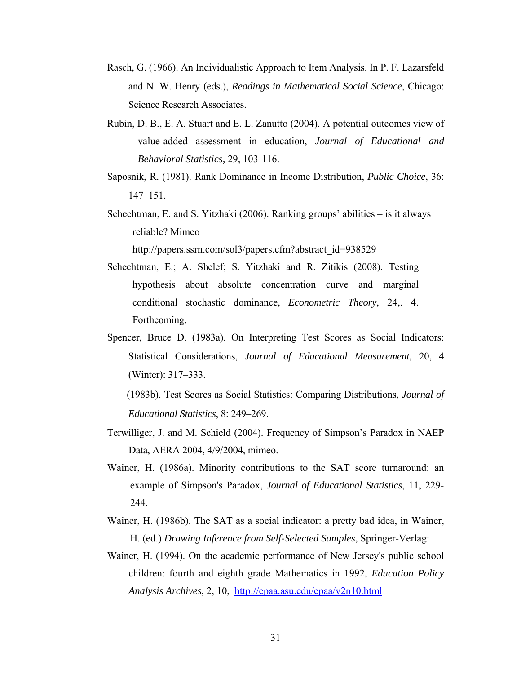- Rasch, G. (1966). An Individualistic Approach to Item Analysis. In P. F. Lazarsfeld and N. W. Henry (eds.), *Readings in Mathematical Social Science*, Chicago: Science Research Associates.
- Rubin, D. B., E. A. Stuart and E. L. Zanutto (2004). A potential outcomes view of value-added assessment in education, *Journal of Educational and Behavioral Statistics,* 29, 103-116.
- Saposnik, R. (1981). Rank Dominance in Income Distribution, *Public Choice*, 36: 147–151.
- Schechtman, E. and S. Yitzhaki (2006). Ranking groups' abilities is it always reliable? Mimeo

http://papers.ssrn.com/sol3/papers.cfm?abstract\_id=938529

- Schechtman, E.; A. Shelef; S. Yitzhaki and R. Zitikis (2008). Testing hypothesis about absolute concentration curve and marginal conditional stochastic dominance, *Econometric Theory*, 24,. 4. Forthcoming.
- Spencer, Bruce D. (1983a). On Interpreting Test Scores as Social Indicators: Statistical Considerations, *Journal of Educational Measurement*, 20, 4 (Winter): 317–333.
- −−− (1983b). Test Scores as Social Statistics: Comparing Distributions, *Journal of Educational Statistics*, 8: 249–269.
- Terwilliger, J. and M. Schield (2004). Frequency of Simpson's Paradox in NAEP Data, AERA 2004, 4/9/2004, mimeo.
- Wainer, H. (1986a). Minority contributions to the SAT score turnaround: an example of Simpson's Paradox, *Journal of Educational Statistics*, 11, 229- 244.
- Wainer, H. (1986b). The SAT as a social indicator: a pretty bad idea, in Wainer, H. (ed.) *Drawing Inference from Self-Selected Samples*, Springer-Verlag:
- Wainer, H. (1994). On the academic performance of New Jersey's public school children: fourth and eighth grade Mathematics in 1992, *Education Policy Analysis Archives*, 2, 10, <http://epaa.asu.edu/epaa/v2n10.html>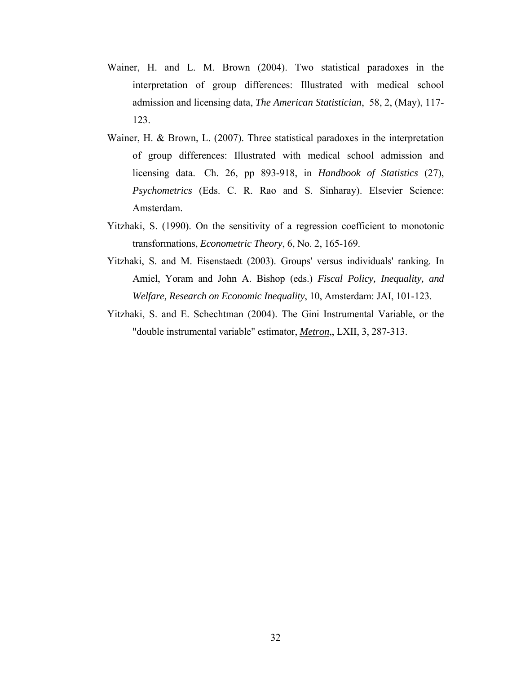- Wainer, H. and L. M. Brown (2004). Two statistical paradoxes in the interpretation of group differences: Illustrated with medical school admission and licensing data, *The American Statistician*, 58, 2, (May), 117- 123.
- Wainer, H. & Brown, L. (2007). Three statistical paradoxes in the interpretation of group differences: Illustrated with medical school admission and licensing data. Ch. 26, pp 893-918, in *Handbook of Statistics* (27), *Psychometrics* (Eds. C. R. Rao and S. Sinharay). Elsevier Science: Amsterdam.
- Yitzhaki, S. (1990). On the sensitivity of a regression coefficient to monotonic transformations, *Econometric Theory*, 6, No. 2, 165-169.
- Yitzhaki, S. and M. Eisenstaedt (2003). Groups' versus individuals' ranking. In Amiel, Yoram and John A. Bishop (eds.) *Fiscal Policy, Inequality, and Welfare, Research on Economic Inequality*, 10, Amsterdam: JAI, 101-123.
- Yitzhaki, S. and E. Schechtman (2004). The Gini Instrumental Variable, or the "double instrumental variable" estimator, *Metron*,, LXII, 3, 287-313.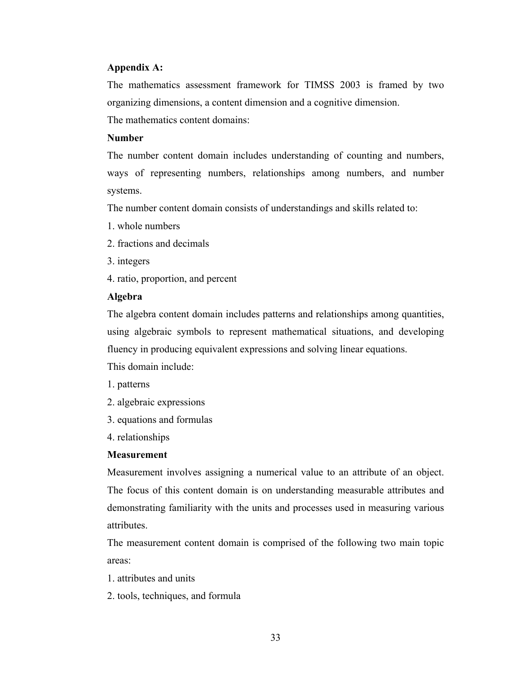# **Appendix A:**

The mathematics assessment framework for TIMSS 2003 is framed by two organizing dimensions, a content dimension and a cognitive dimension.

The mathematics content domains:

# **Number**

The number content domain includes understanding of counting and numbers, ways of representing numbers, relationships among numbers, and number systems.

The number content domain consists of understandings and skills related to:

- 1. whole numbers
- 2. fractions and decimals
- 3. integers
- 4. ratio, proportion, and percent

# **Algebra**

The algebra content domain includes patterns and relationships among quantities, using algebraic symbols to represent mathematical situations, and developing fluency in producing equivalent expressions and solving linear equations.

This domain include:

- 1. patterns
- 2. algebraic expressions
- 3. equations and formulas
- 4. relationships

# **Measurement**

Measurement involves assigning a numerical value to an attribute of an object. The focus of this content domain is on understanding measurable attributes and demonstrating familiarity with the units and processes used in measuring various attributes.

The measurement content domain is comprised of the following two main topic areas:

- 1. attributes and units
- 2. tools, techniques, and formula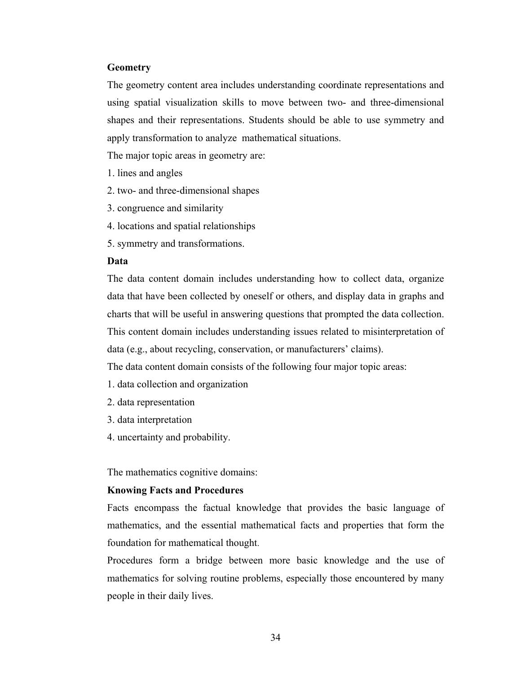# **Geometry**

The geometry content area includes understanding coordinate representations and using spatial visualization skills to move between two- and three-dimensional shapes and their representations. Students should be able to use symmetry and apply transformation to analyze mathematical situations.

The major topic areas in geometry are:

- 1. lines and angles
- 2. two- and three-dimensional shapes
- 3. congruence and similarity
- 4. locations and spatial relationships
- 5. symmetry and transformations.

# **Data**

The data content domain includes understanding how to collect data, organize data that have been collected by oneself or others, and display data in graphs and charts that will be useful in answering questions that prompted the data collection. This content domain includes understanding issues related to misinterpretation of data (e.g., about recycling, conservation, or manufacturers' claims).

The data content domain consists of the following four major topic areas:

- 1. data collection and organization
- 2. data representation
- 3. data interpretation
- 4. uncertainty and probability.

The mathematics cognitive domains:

## **Knowing Facts and Procedures**

Facts encompass the factual knowledge that provides the basic language of mathematics, and the essential mathematical facts and properties that form the foundation for mathematical thought.

Procedures form a bridge between more basic knowledge and the use of mathematics for solving routine problems, especially those encountered by many people in their daily lives.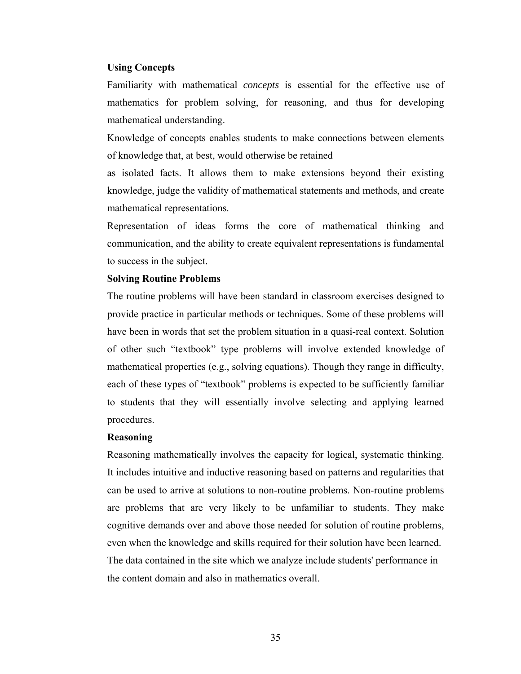## **Using Concepts**

Familiarity with mathematical *concepts* is essential for the effective use of mathematics for problem solving, for reasoning, and thus for developing mathematical understanding.

Knowledge of concepts enables students to make connections between elements of knowledge that, at best, would otherwise be retained

as isolated facts. It allows them to make extensions beyond their existing knowledge, judge the validity of mathematical statements and methods, and create mathematical representations.

Representation of ideas forms the core of mathematical thinking and communication, and the ability to create equivalent representations is fundamental to success in the subject.

#### **Solving Routine Problems**

The routine problems will have been standard in classroom exercises designed to provide practice in particular methods or techniques. Some of these problems will have been in words that set the problem situation in a quasi-real context. Solution of other such "textbook" type problems will involve extended knowledge of mathematical properties (e.g., solving equations). Though they range in difficulty, each of these types of "textbook" problems is expected to be sufficiently familiar to students that they will essentially involve selecting and applying learned procedures.

# **Reasoning**

Reasoning mathematically involves the capacity for logical, systematic thinking. It includes intuitive and inductive reasoning based on patterns and regularities that can be used to arrive at solutions to non-routine problems. Non-routine problems are problems that are very likely to be unfamiliar to students. They make cognitive demands over and above those needed for solution of routine problems, even when the knowledge and skills required for their solution have been learned. The data contained in the site which we analyze include students' performance in the content domain and also in mathematics overall.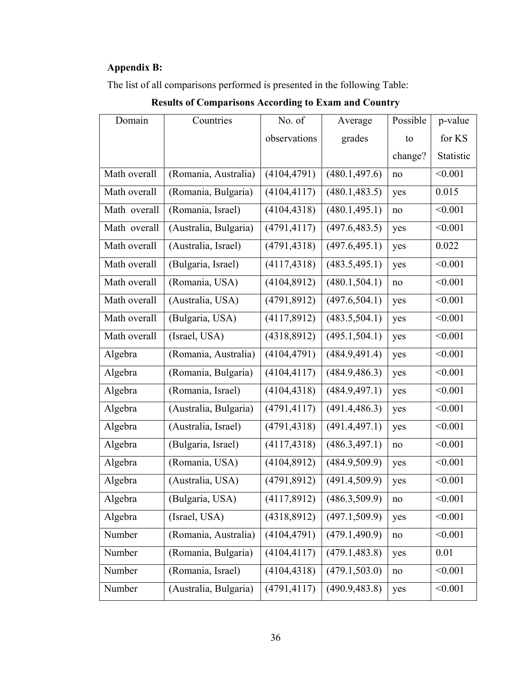# **Appendix B:**

The list of all comparisons performed is presented in the following Table:

# Domain Countries No. of observations Average grades Possible to change? p-value for KS Statistic Math overall (Romania, Australia) (4104,4791) (480.1,497.6) no <0.001 Math overall (Romania, Bulgaria) (4104,4117) (480.1,483.5) yes 0.015 Math overall (Romania, Israel) (4104,4318) (480.1,495.1) no <0.001 Math overall (Australia, Bulgaria) (4791,4117) (497.6,483.5) yes <0.001 Math overall (Australia, Israel) (4791,4318) (497.6,495.1) yes 0.022 Math overall (Bulgaria, Israel)  $|(4117,4318) | (483.5,495.1) | yes | < 0.001$ Math overall (Romania, USA)  $|(4104,8912)| (480.1,504.1) |$  no  $| \le 0.001$ Math overall  $(Australia, USA)$   $(4791,8912)$   $(497.6,504.1)$  yes  $\leq 0.001$ Math overall (Bulgaria, USA) (4117,8912) (483.5,504.1) yes <0.001 Math overall (Israel, USA)  $|(4318,8912) | (495.1,504.1) |$  yes  $| \le 0.001$ Algebra (Romania, Australia) (4104,4791) (484.9,491.4) yes <0.001 Algebra (Romania, Bulgaria) (4104,4117) (484.9,486.3) yes <0.001 Algebra (Romania, Israel) (4104,4318) (484.9,497.1) yes <0.001 Algebra (Australia, Bulgaria) (4791,4117) (491.4,486.3) yes <0.001 Algebra (Australia, Israel) (4791,4318) (491.4,497.1) yes <0.001 Algebra (Bulgaria, Israel) (4117,4318) (486.3,497.1) no <0.001 Algebra (Romania, USA) (4104,8912) (484.9,509.9) yes <0.001 Algebra (Australia, USA) (4791,8912) (491.4,509.9) yes <0.001 Algebra (Bulgaria, USA) (4117,8912) (486.3,509.9) no <0.001 Algebra (Israel, USA) (4318,8912) (497.1,509.9) yes <0.001 Number (Romania, Australia) (4104,4791) (479.1,490.9) no <0.001 Number (Romania, Bulgaria) (4104,4117) (479.1,483.8) yes 0.01 Number (Romania, Israel) (4104,4318) (479.1,503.0) no <0.001 Number (Australia, Bulgaria) (4791,4117) (490.9,483.8) yes <0.001

# **Results of Comparisons According to Exam and Country**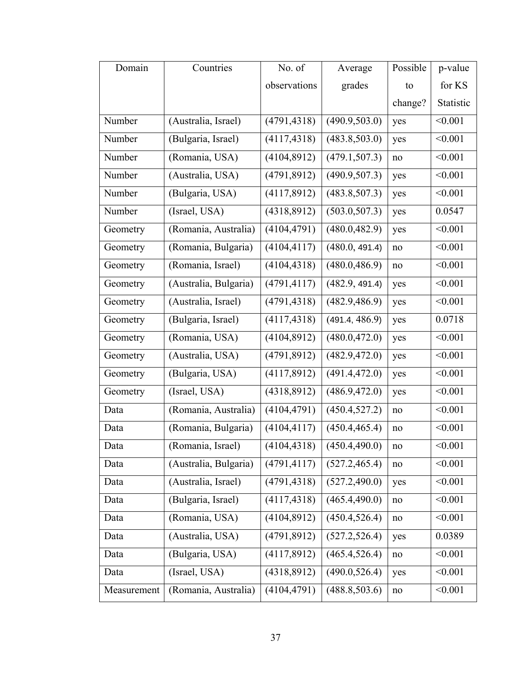| Domain      | Countries             | No. of       | Average        | Possible | p-value   |
|-------------|-----------------------|--------------|----------------|----------|-----------|
|             |                       | observations | grades         | to       | for KS    |
|             |                       |              |                | change?  | Statistic |
| Number      | (Australia, Israel)   | (4791, 4318) | (490.9, 503.0) | yes      | < 0.001   |
| Number      | (Bulgaria, Israel)    | (4117, 4318) | (483.8, 503.0) | yes      | < 0.001   |
| Number      | (Romania, USA)        | (4104, 8912) | (479.1, 507.3) | no       | < 0.001   |
| Number      | (Australia, USA)      | (4791, 8912) | (490.9, 507.3) | yes      | < 0.001   |
| Number      | (Bulgaria, USA)       | (4117,8912)  | (483.8, 507.3) | yes      | < 0.001   |
| Number      | (Israel, USA)         | (4318,8912)  | (503.0, 507.3) | yes      | 0.0547    |
| Geometry    | (Romania, Australia)  | (4104, 4791) | (480.0, 482.9) | yes      | < 0.001   |
| Geometry    | (Romania, Bulgaria)   | (4104, 4117) | (480.0, 491.4) | no       | < 0.001   |
| Geometry    | (Romania, Israel)     | (4104, 4318) | (480.0, 486.9) | no       | < 0.001   |
| Geometry    | (Australia, Bulgaria) | (4791, 4117) | (482.9, 491.4) | yes      | < 0.001   |
| Geometry    | (Australia, Israel)   | (4791, 4318) | (482.9, 486.9) | yes      | < 0.001   |
| Geometry    | (Bulgaria, Israel)    | (4117, 4318) | (491.4, 486.9) | yes      | 0.0718    |
| Geometry    | (Romania, USA)        | (4104, 8912) | (480.0, 472.0) | yes      | < 0.001   |
| Geometry    | (Australia, USA)      | (4791, 8912) | (482.9, 472.0) | yes      | < 0.001   |
| Geometry    | (Bulgaria, USA)       | (4117,8912)  | (491.4, 472.0) | yes      | < 0.001   |
| Geometry    | (Israel, USA)         | (4318,8912)  | (486.9, 472.0) | yes      | < 0.001   |
| Data        | (Romania, Australia)  | (4104, 4791) | (450.4, 527.2) | no       | < 0.001   |
| Data        | (Romania, Bulgaria)   | (4104, 4117) | (450.4, 465.4) | no       | < 0.001   |
| Data        | (Romania, Israel)     | (4104, 4318) | (450.4, 490.0) | no       | < 0.001   |
| Data        | (Australia, Bulgaria) | (4791, 4117) | (527.2, 465.4) | no       | < 0.001   |
| Data        | (Australia, Israel)   | (4791, 4318) | (527.2, 490.0) | yes      | < 0.001   |
| Data        | (Bulgaria, Israel)    | (4117, 4318) | (465.4, 490.0) | no       | < 0.001   |
| Data        | (Romania, USA)        | (4104,8912)  | (450.4, 526.4) | no       | < 0.001   |
| Data        | (Australia, USA)      | (4791,8912)  | (527.2, 526.4) | yes      | 0.0389    |
| Data        | (Bulgaria, USA)       | (4117,8912)  | (465.4, 526.4) | no       | < 0.001   |
| Data        | (Israel, USA)         | (4318,8912)  | (490.0, 526.4) | yes      | < 0.001   |
| Measurement | (Romania, Australia)  | (4104, 4791) | (488.8, 503.6) | no       | < 0.001   |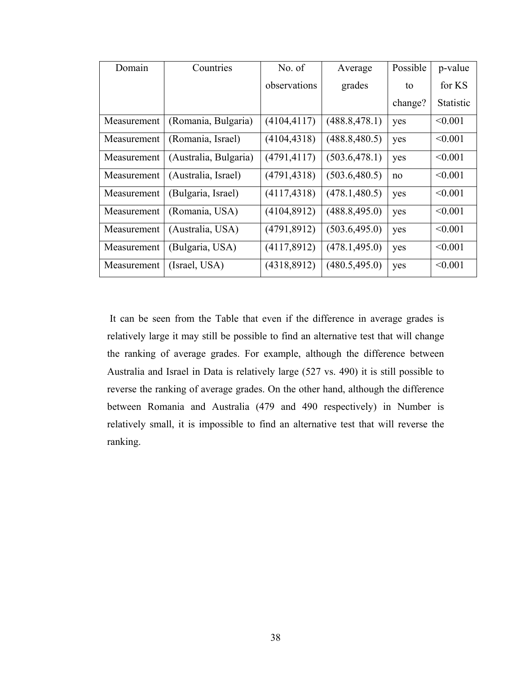| Domain      | Countries             | No. of       | Average        | Possible | p-value          |
|-------------|-----------------------|--------------|----------------|----------|------------------|
|             |                       | observations | grades         | to       | for KS           |
|             |                       |              |                | change?  | <b>Statistic</b> |
| Measurement | (Romania, Bulgaria)   | (4104, 4117) | (488.8, 478.1) | yes      | < 0.001          |
| Measurement | (Romania, Israel)     | (4104, 4318) | (488.8, 480.5) | yes      | < 0.001          |
| Measurement | (Australia, Bulgaria) | (4791, 4117) | (503.6, 478.1) | yes      | < 0.001          |
| Measurement | (Australia, Israel)   | (4791, 4318) | (503.6, 480.5) | no       | < 0.001          |
| Measurement | (Bulgaria, Israel)    | (4117, 4318) | (478.1, 480.5) | yes      | < 0.001          |
| Measurement | (Romania, USA)        | (4104,8912)  | (488.8, 495.0) | yes      | < 0.001          |
| Measurement | (Australia, USA)      | (4791, 8912) | (503.6, 495.0) | yes      | < 0.001          |
| Measurement | (Bulgaria, USA)       | (4117,8912)  | (478.1, 495.0) | yes      | < 0.001          |
| Measurement | (Israel, USA)         | (4318,8912)  | (480.5, 495.0) | yes      | < 0.001          |

It can be seen from the Table that even if the difference in average grades is relatively large it may still be possible to find an alternative test that will change the ranking of average grades. For example, although the difference between Australia and Israel in Data is relatively large (527 vs. 490) it is still possible to reverse the ranking of average grades. On the other hand, although the difference between Romania and Australia (479 and 490 respectively) in Number is relatively small, it is impossible to find an alternative test that will reverse the ranking.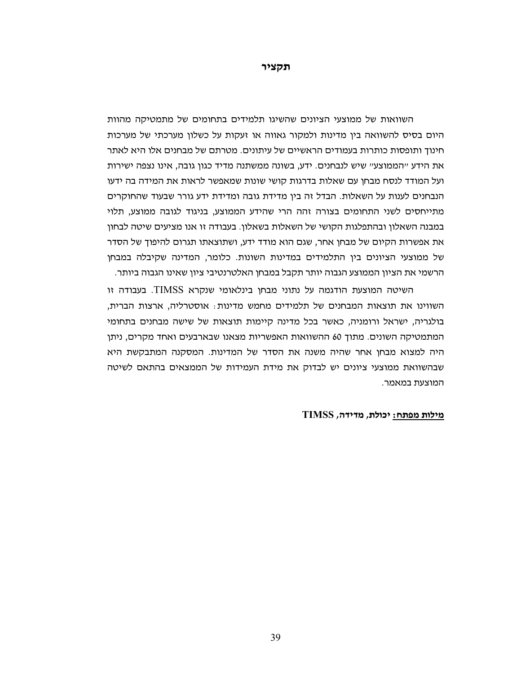**תקציר**

השוואות של ממוצעי הציונים שהשיגו תלמידים בתחומים של מתמטיקה מהוות היום בסיס להשוואה בין מדינות ולמקור גאווה או זעקות על כשלון מערכתי של מערכות חינוך ותופסות כותרות בעמודים הראשיים של עיתונים. מטרתם של מבחנים אלו היא לאתר את הידע "הממוצע" שיש לנבחנים. ידע, בשונה ממשתנה מדיד כגון גובה, אינו נצפה ישירות ועל המודד לנסח מבחן עם שאלות בדרגות קושי שונות שמאפשר לראות את המידה בה ידעו הנבחנים לענות על השאלות. הבדל זה בין מדידת גובה ומדידת ידע גורר שבעוד שהחוקרים מתייחסים לשני התחומים בצורה זהה הרי שהידע הממוצע, בניגוד לגובה ממוצע, תלוי במבנה השאלון ובהתפלגות הקושי של השאלות בשאלון. בעבודה זו אנו מציעים שיטה לבחון את אפשרות הקיום של מבחן אחר, שגם הוא מודד ידע, ושתוצאתו תגרום להיפוך של הסדר של ממוצעי הציונים בין התלמידים במדינות השונות. כלומר, המדינה שקיבלה במבחן הרשמי את הציון הממוצע הגבוה יותר תקבל במבחן האלטרנטיבי ציון שאינו הגבוה ביותר.

 השיטה המוצעת הודגמה על נתוני מבחן בינלאומי שנקרא TIMSS. בעבודה זו השווינו את תוצאות המבחנים של תלמידים מחמש מדינות: אוסטרליה, ארצות הברית, בולגריה, ישראל ורומניה, כאשר בכל מדינה קיימות תוצאות של שישה מבחנים בתחומי המתמטיקה השונים. מתוך 60 ההשוואות האפשריות מצאנו שבארבעים ואחד מקרים, ניתן היה למצוא מבחן אחר שהיה משנה את הסדר של המדינות. המסקנה המתבקשת היא שבהשוואת ממוצעי ציונים יש לבדוק את מידת העמידות של הממצאים בהתאם לשיטה המוצעת במאמר.

#### **מילות מפתח: יכולת, מדידה, TIMSS**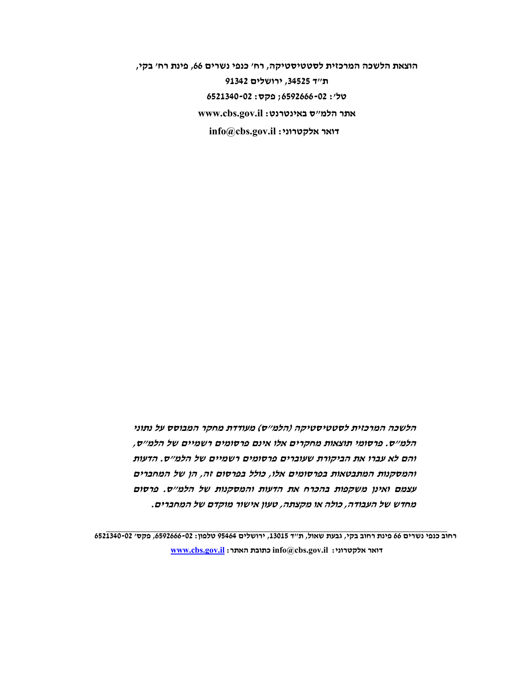**הוצאת הלשכה המרכזית לסטטיסטיקה, רח' כנפי נשרים ,66 פינת רח' בקי, ת"ד ,34525 ירושלים 91342 טל': 6592666-02; פקס: 6521340-02 אתר הלמ"ס באינטרנט: il.gov.cbs.www info@cbs.gov.il :אלקטרוני דואר**

**הלשכה המרכזית לסטטיסטיקה (הלמ"ס) מעודדת מחקר המבוסס על נתוני הלמ"ס. פרסומי תוצאות מחקרים אלו אינם פרסומים רשמיים של הלמ"ס, והם לא עברו את הביקורת שעוברים פרסומים רשמיים של הלמ"ס. הדעות והמסקנות המתבטאות בפרסומים אלו, כולל בפרסום זה, הן של המחברים עצמם ואינן משקפות בהכרח את הדעות והמסקנות של הלמ"<sup>ס</sup> פרסום . מחדש של העבודה, כולה או מקצתה טעון אישור מוקדם של המחברים . ,**

רחוב כנפי נשרים 66 פינת רחוב בקי, גבעת שאול, ת"ד 13015, ירושלים 95464 טלפון: 05-6592666, פקס' 02-6521340  **[www.cbs.gov.il](http://www.cbs.gov.il/) :האתר כתובת info@cbs.gov.il :אלקטרוני דואר**